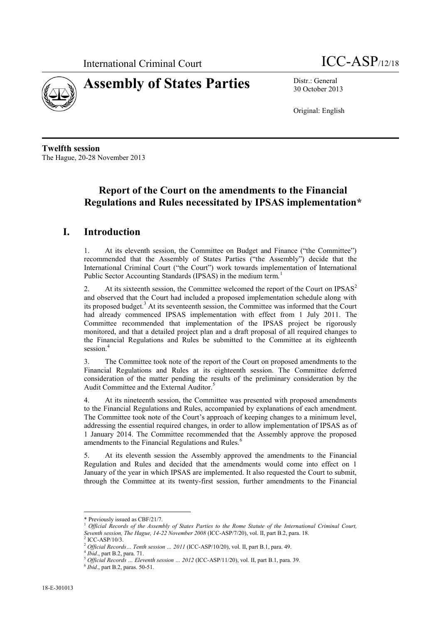



30 October 2013

Original: English

**Twelfth session** The Hague, 20-28 November 2013

# **Report of the Court on the amendments to the Financial Regulations and Rules necessitated by IPSAS implementation\***

#### **I. Introduction**

1. At its eleventh session, the Committee on Budget and Finance ("the Committee") recommended that the Assembly of States Parties ("the Assembly") decide that the International Criminal Court ("the Court") work towards implementation of International Public Sector Accounting Standards (IPSAS) in the medium term.<sup>1</sup>

2. At its sixteenth session, the Committee welcomed the report of the Court on IPSAS<sup>2</sup> and observed that the Court had included a proposed implementation schedule along with its proposed budget.<sup>3</sup> At its seventeenth session, the Committee was informed that the Court had already commenced IPSAS implementation with effect from 1 July 2011. The Committee recommended that implementation of the IPSAS project be rigorously monitored, and that a detailed project plan and a draft proposal of all required changes to the Financial Regulations and Rules be submitted to the Committee at its eighteenth session.<sup>4</sup>

3. The Committee took note of the report of the Court on proposed amendments to the Financial Regulations and Rules at its eighteenth session. The Committee deferred consideration of the matter pending the results of the preliminary consideration by the Audit Committee and the External Auditor.<sup>5</sup>

4. At its nineteenth session, the Committee was presented with proposed amendments to the Financial Regulations and Rules, accompanied by explanations of each amendment. The Committee took note of the Court's approach of keeping changes to a minimum level, addressing the essential required changes, in order to allow implementation of IPSAS as of 1 January 2014. The Committee recommended that the Assembly approve the proposed amendments to the Financial Regulations and Rules.<sup>6</sup>

5. At its eleventh session the Assembly approved the amendments to the Financial Regulation and Rules and decided that the amendments would come into effect on 1 January of the year in which IPSAS are implemented. It also requested the Court to submit, through the Committee at its twenty-first session, further amendments to the Financial

 $\overline{a}$ 

<sup>\*</sup> Previously issued as CBF/21/7.

<sup>1</sup> *Official Records of the Assembly of States Parties to the Rome Statute of the International Criminal Court, Seventh session, The Hague, 14-22 November 2008* (ICC-ASP/7/20), vol. II, part B.2, para. 18. 2

ICC-ASP/10/3.

<sup>2</sup> *Official Records… Tenth session … 2011* (ICC-ASP/10/20), vol. II, part B.1, para. 49.

<sup>4</sup> *Ibid*., part B.2, para. 71.

<sup>5</sup> *Official Records … Eleventh session … 2012* (ICC-ASP/11/20), vol. II, part B.1, para. 39.

<sup>6</sup> *Ibid*., part B.2, paras. 50-51.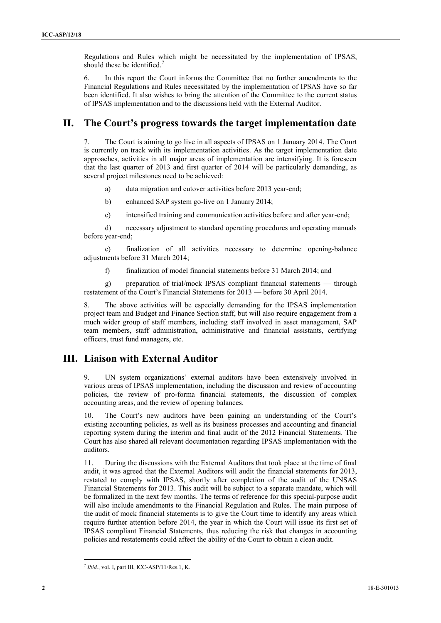Regulations and Rules which might be necessitated by the implementation of IPSAS, should these be identified.<sup>7</sup>

6. In this report the Court informs the Committee that no further amendments to the Financial Regulations and Rules necessitated by the implementation of IPSAS have so far been identified. It also wishes to bring the attention of the Committee to the current status of IPSAS implementation and to the discussions held with the External Auditor.

### **II. The Court's progress towards the target implementation date**

7. The Court is aiming to go live in all aspects of IPSAS on 1 January 2014. The Court is currently on track with its implementation activities. As the target implementation date approaches, activities in all major areas of implementation are intensifying. It is foreseen that the last quarter of 2013 and first quarter of 2014 will be particularly demanding, as several project milestones need to be achieved:

- a) data migration and cutover activities before 2013 year-end;
- b) enhanced SAP system go-live on 1 January 2014;
- c) intensified training and communication activities before and after year-end;

d) necessary adjustment to standard operating procedures and operating manuals before year-end;

e) finalization of all activities necessary to determine opening-balance adjustments before 31 March 2014;

f) finalization of model financial statements before 31 March 2014; and

g) preparation of trial/mock IPSAS compliant financial statements — through restatement of the Court's Financial Statements for 2013 — before 30 April 2014.

8. The above activities will be especially demanding for the IPSAS implementation project team and Budget and Finance Section staff, but will also require engagement from a much wider group of staff members, including staff involved in asset management, SAP team members, staff administration, administrative and financial assistants, certifying officers, trust fund managers, etc.

## **III. Liaison with External Auditor**

9. UN system organizations' external auditors have been extensively involved in various areas of IPSAS implementation, including the discussion and review of accounting policies, the review of pro-forma financial statements, the discussion of complex accounting areas, and the review of opening balances.

10. The Court's new auditors have been gaining an understanding of the Court's existing accounting policies, as well as its business processes and accounting and financial reporting system during the interim and final audit of the 2012 Financial Statements. The Court has also shared all relevant documentation regarding IPSAS implementation with the auditors.

11. During the discussions with the External Auditors that took place at the time of final audit, it was agreed that the External Auditors will audit the financial statements for 2013, restated to comply with IPSAS, shortly after completion of the audit of the UNSAS Financial Statements for 2013. This audit will be subject to a separate mandate, which will be formalized in the next few months. The terms of reference for this special-purpose audit will also include amendments to the Financial Regulation and Rules. The main purpose of the audit of mock financial statements is to give the Court time to identify any areas which require further attention before 2014, the year in which the Court will issue its first set of IPSAS compliant Financial Statements, thus reducing the risk that changes in accounting policies and restatements could affect the ability of the Court to obtain a clean audit.

 $\overline{a}$ 

<sup>7</sup> *Ibid*., vol. I, part III, ICC-ASP/11/Res.1, K.